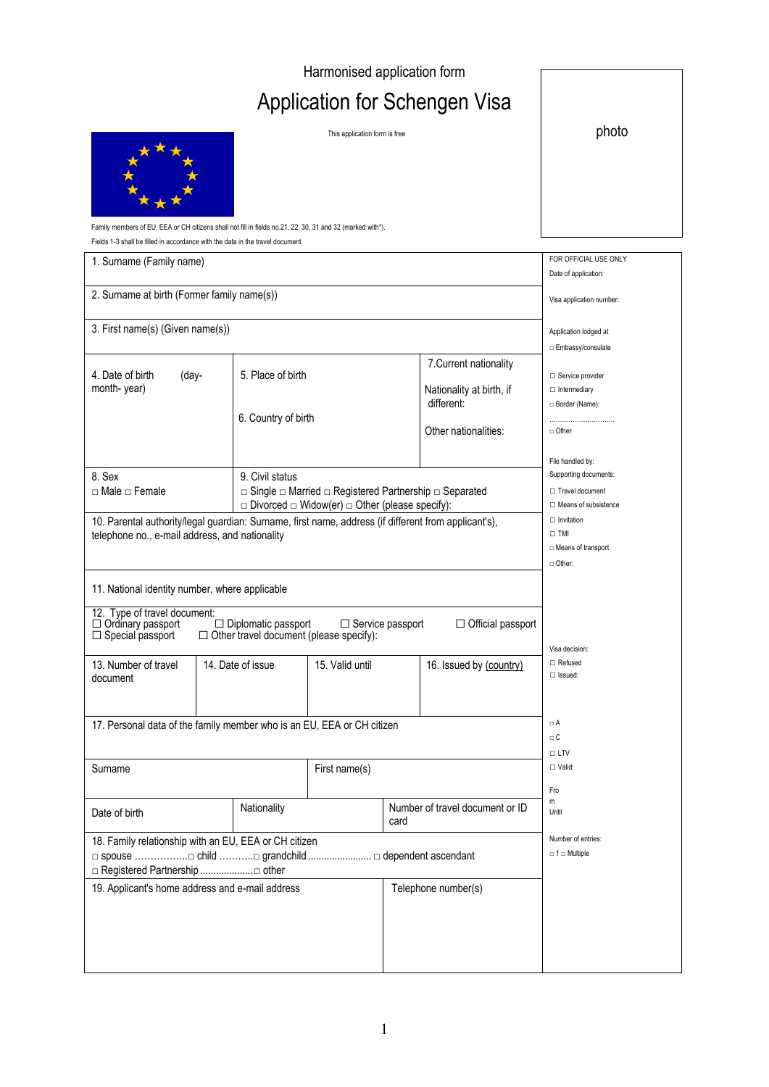## Harmonised application form

## Application for Schengen Visa

This application form is free photo photo



Family members of EU, EEA or CH citizens shall not fill in fields no.21, 22, 30, 31 and 32 (marked with\*).

Fields 1-3 shall be filled in accordance with the data in the travel document.

| 1. Surname (Family name)                                                                                                                               |                          |                                                                                                                                                |                         |                     |                                                    | FOR OFFICIAL USE ONLY                            |
|--------------------------------------------------------------------------------------------------------------------------------------------------------|--------------------------|------------------------------------------------------------------------------------------------------------------------------------------------|-------------------------|---------------------|----------------------------------------------------|--------------------------------------------------|
|                                                                                                                                                        |                          |                                                                                                                                                |                         |                     |                                                    | Date of application:                             |
| 2. Surname at birth (Former family name(s))                                                                                                            | Visa application number: |                                                                                                                                                |                         |                     |                                                    |                                                  |
| 3. First name(s) (Given name(s))                                                                                                                       |                          |                                                                                                                                                |                         |                     |                                                    | Application lodged at                            |
|                                                                                                                                                        |                          |                                                                                                                                                |                         |                     |                                                    | □ Embassy/consulate                              |
| 4. Date of birth<br>(day-<br>month-year)                                                                                                               |                          | 5. Place of birth                                                                                                                              |                         |                     | 7. Current nationality<br>Nationality at birth, if | Service provider<br>$\Box$ Intermediary          |
|                                                                                                                                                        |                          | 6. Country of birth                                                                                                                            |                         | different:          | Border (Name):<br>                                 |                                                  |
|                                                                                                                                                        |                          |                                                                                                                                                |                         |                     | Other nationalities:                               | $\Box$ Other                                     |
| 8. Sex<br>9. Civil status                                                                                                                              |                          |                                                                                                                                                |                         |                     | File handled by:<br>Supporting documents:          |                                                  |
| $\Box$ Male $\Box$ Female                                                                                                                              |                          | $\Box$ Single $\Box$ Married $\Box$ Registered Partnership $\Box$ Separated<br>$\Box$ Divorced $\Box$ Widow(er) $\Box$ Other (please specify): |                         |                     |                                                    | □ Travel document<br>$\Box$ Means of subsistence |
| 10. Parental authority/legal guardian: Surname, first name, address (if different from applicant's),<br>telephone no., e-mail address, and nationality |                          |                                                                                                                                                |                         |                     |                                                    | $\Box$ Invitation<br>$\square$ TMI               |
|                                                                                                                                                        |                          |                                                                                                                                                |                         |                     |                                                    | □ Means of transport<br>n Other:                 |
| 11. National identity number, where applicable<br>12. Type of travel document:<br>$\Box$ Ordinary passport<br>$\Box$ Special passport                  |                          | $\Box$ Diplomatic passport<br>$\Box$ Other travel document (please specify):                                                                   | $\Box$ Service passport |                     | $\Box$ Official passport                           | Visa decision:                                   |
| 13. Number of travel<br>document                                                                                                                       |                          | 14. Date of issue                                                                                                                              | 15. Valid until         |                     | 16. Issued by (country)                            | $\Box$ Refused<br>$\Box$ Issued:                 |
| 17. Personal data of the family member who is an EU, EEA or CH citizen                                                                                 |                          |                                                                                                                                                |                         |                     |                                                    | $\Box A$<br>$\Box$ C<br>$\Box$ LTV               |
| Surname                                                                                                                                                |                          |                                                                                                                                                | First name(s)           |                     |                                                    | $\Box$ Valid:                                    |
| Date of birth                                                                                                                                          |                          | Nationality                                                                                                                                    |                         | card                | Number of travel document or ID                    | Fro<br>m<br>Until                                |
| 18. Family relationship with an EU, EEA or CH citizen                                                                                                  |                          |                                                                                                                                                |                         |                     |                                                    | Number of entries:                               |
| □ spouse □ child □ grandchild  □ dependent ascendant                                                                                                   |                          |                                                                                                                                                |                         |                     |                                                    | $\Box$ 1 $\Box$ Multiple                         |
| 19. Applicant's home address and e-mail address                                                                                                        |                          |                                                                                                                                                |                         | Telephone number(s) |                                                    |                                                  |
|                                                                                                                                                        |                          |                                                                                                                                                |                         |                     |                                                    |                                                  |
|                                                                                                                                                        |                          |                                                                                                                                                |                         |                     |                                                    |                                                  |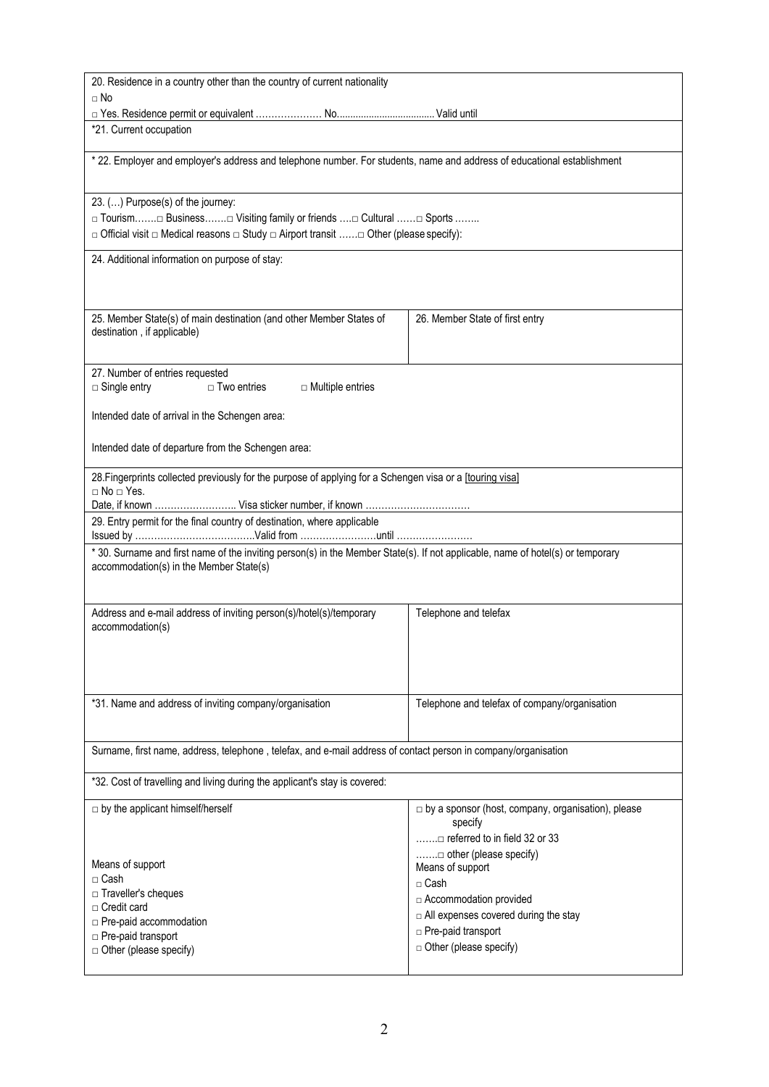| 20. Residence in a country other than the country of current nationality                                                                                                   |                                                                      |  |  |  |  |  |
|----------------------------------------------------------------------------------------------------------------------------------------------------------------------------|----------------------------------------------------------------------|--|--|--|--|--|
| $\Box$ No                                                                                                                                                                  |                                                                      |  |  |  |  |  |
| *21. Current occupation                                                                                                                                                    |                                                                      |  |  |  |  |  |
|                                                                                                                                                                            |                                                                      |  |  |  |  |  |
| * 22. Employer and employer's address and telephone number. For students, name and address of educational establishment                                                    |                                                                      |  |  |  |  |  |
| 23. () Purpose(s) of the journey:                                                                                                                                          |                                                                      |  |  |  |  |  |
| □ Tourism□ Business□ Visiting family or friends □ Cultural □ Sports                                                                                                        |                                                                      |  |  |  |  |  |
| □ Official visit □ Medical reasons □ Study □ Airport transit □ Other (please specify):                                                                                     |                                                                      |  |  |  |  |  |
| 24. Additional information on purpose of stay:                                                                                                                             |                                                                      |  |  |  |  |  |
| 25. Member State(s) of main destination (and other Member States of<br>destination, if applicable)                                                                         | 26. Member State of first entry                                      |  |  |  |  |  |
|                                                                                                                                                                            |                                                                      |  |  |  |  |  |
| 27. Number of entries requested<br>$\Box$ Two entries<br>$\Box$ Single entry<br>$\Box$ Multiple entries                                                                    |                                                                      |  |  |  |  |  |
|                                                                                                                                                                            |                                                                      |  |  |  |  |  |
| Intended date of arrival in the Schengen area:                                                                                                                             |                                                                      |  |  |  |  |  |
| Intended date of departure from the Schengen area:                                                                                                                         |                                                                      |  |  |  |  |  |
| 28. Fingerprints collected previously for the purpose of applying for a Schengen visa or a [touring visa]                                                                  |                                                                      |  |  |  |  |  |
| $\Box$ No $\Box$ Yes.                                                                                                                                                      |                                                                      |  |  |  |  |  |
| Date, if known  Visa sticker number, if known<br>29. Entry permit for the final country of destination, where applicable                                                   |                                                                      |  |  |  |  |  |
|                                                                                                                                                                            |                                                                      |  |  |  |  |  |
| * 30. Surname and first name of the inviting person(s) in the Member State(s). If not applicable, name of hotel(s) or temporary<br>accommodation(s) in the Member State(s) |                                                                      |  |  |  |  |  |
| Address and e-mail address of inviting person(s)/hotel(s)/temporary<br>accommodation(s)                                                                                    | Telephone and telefax                                                |  |  |  |  |  |
|                                                                                                                                                                            |                                                                      |  |  |  |  |  |
| *31. Name and address of inviting company/organisation                                                                                                                     | Telephone and telefax of company/organisation                        |  |  |  |  |  |
| Surname, first name, address, telephone, telefax, and e-mail address of contact person in company/organisation                                                             |                                                                      |  |  |  |  |  |
| *32. Cost of travelling and living during the applicant's stay is covered:                                                                                                 |                                                                      |  |  |  |  |  |
| $\Box$ by the applicant himself/herself                                                                                                                                    | $\Box$ by a sponsor (host, company, organisation), please<br>specify |  |  |  |  |  |
|                                                                                                                                                                            | □ referred to in field 32 or 33                                      |  |  |  |  |  |
| Means of support                                                                                                                                                           | Means of support                                                     |  |  |  |  |  |
| □ Cash                                                                                                                                                                     | $\Box$ Cash                                                          |  |  |  |  |  |
| □ Traveller's cheques                                                                                                                                                      | □ Accommodation provided                                             |  |  |  |  |  |
| $\Box$ Credit card                                                                                                                                                         | All expenses covered during the stay                                 |  |  |  |  |  |
| □ Pre-paid accommodation<br>□ Pre-paid transport                                                                                                                           | Pre-paid transport                                                   |  |  |  |  |  |
| □ Other (please specify)                                                                                                                                                   | $\Box$ Other (please specify)                                        |  |  |  |  |  |